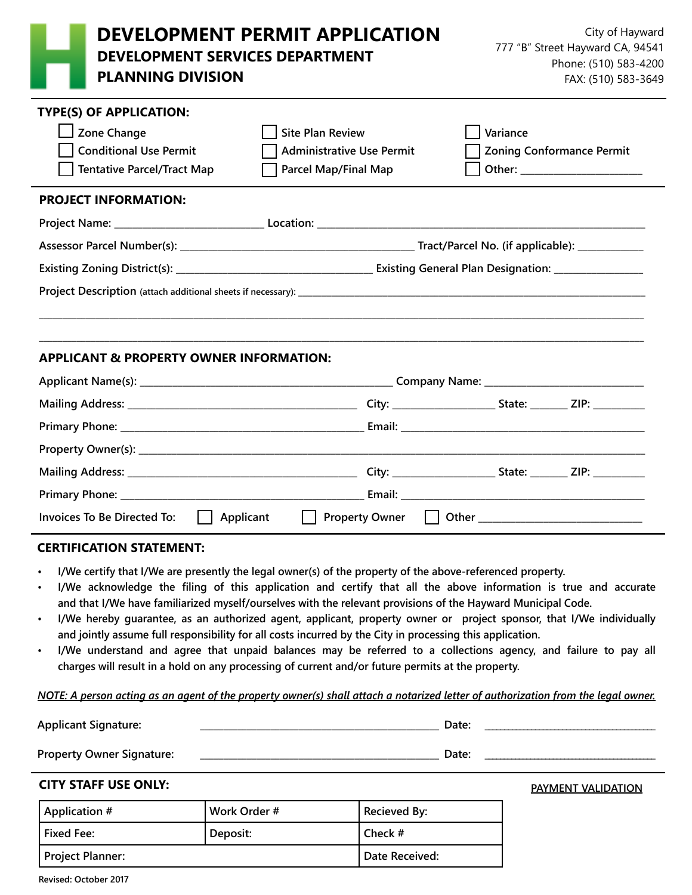| <b>DEVELOPMENT PERMIT APPLICATION</b><br><b>DEVELOPMENT SERVICES DEPARTMENT</b><br><b>PLANNING DIVISION</b>         |                                                                                     | City of Hayward<br>777 "B" Street Hayward CA, 94541<br>Phone: (510) 583-4200<br>FAX: (510) 583-3649 |
|---------------------------------------------------------------------------------------------------------------------|-------------------------------------------------------------------------------------|-----------------------------------------------------------------------------------------------------|
| <b>TYPE(S) OF APPLICATION:</b><br>Zone Change<br><b>Conditional Use Permit</b><br><b>Tentative Parcel/Tract Map</b> | <b>Site Plan Review</b><br><b>Administrative Use Permit</b><br>Parcel Map/Final Map | Variance<br><b>Zoning Conformance Permit</b>                                                        |
| <b>PROJECT INFORMATION:</b>                                                                                         |                                                                                     |                                                                                                     |
|                                                                                                                     |                                                                                     |                                                                                                     |
|                                                                                                                     |                                                                                     |                                                                                                     |
|                                                                                                                     |                                                                                     |                                                                                                     |
|                                                                                                                     |                                                                                     |                                                                                                     |
| <b>APPLICANT &amp; PROPERTY OWNER INFORMATION:</b>                                                                  |                                                                                     |                                                                                                     |
|                                                                                                                     |                                                                                     |                                                                                                     |
|                                                                                                                     |                                                                                     |                                                                                                     |
|                                                                                                                     |                                                                                     |                                                                                                     |
|                                                                                                                     |                                                                                     |                                                                                                     |
|                                                                                                                     |                                                                                     |                                                                                                     |
|                                                                                                                     |                                                                                     |                                                                                                     |
| <b>Invoices To Be Directed To:</b><br>    Applicant                                                                 | Property Owner                                                                      | Other ______________________________                                                                |

#### **CERTIFICATION STATEMENT:**

- **• I/We certify that I/We are presently the legal owner(s) of the property of the above-referenced property.**
- **• I/We acknowledge the filing of this application and certify that all the above information is true and accurate and that I/We have familiarized myself/ourselves with the relevant provisions of the Hayward Municipal Code.**
- **• I/We hereby guarantee, as an authorized agent, applicant, property owner or project sponsor, that I/We individually and jointly assume full responsibility for all costs incurred by the City in processing this application.**
- **• I/We understand and agree that unpaid balances may be referred to a collections agency, and failure to pay all charges will result in a hold on any processing of current and/or future permits at the property.**

#### *NOTE: A person acting as an agent of the property owner(s) shall attach a notarized letter of authorization from the legal owner.*

**Applicant Signature: \_\_\_\_\_\_\_\_\_\_\_\_\_\_\_\_\_\_\_\_\_\_\_\_\_\_\_\_\_\_\_\_\_\_\_\_\_\_\_\_\_\_\_\_\_\_\_\_\_\_\_ Date: \_\_\_\_\_\_\_\_\_\_\_\_\_\_\_\_\_\_\_\_\_\_\_\_\_\_\_\_\_\_\_\_\_\_\_\_\_\_\_\_\_\_\_\_ Property Owner Signature: \_\_\_\_\_\_\_\_\_\_\_\_\_\_\_\_\_\_\_\_\_\_\_\_\_\_\_\_\_\_\_\_\_\_\_\_\_\_\_\_\_\_\_\_\_\_\_\_\_\_\_ Date: \_\_\_\_\_\_\_\_\_\_\_\_\_\_\_\_\_\_\_\_\_\_\_\_\_\_\_\_\_\_\_\_\_\_\_\_\_\_\_\_\_\_\_\_\_ CITY STAFF USE ONLY: Application # Work Order # Recieved By: PAYMENT VALIDATION**

| Application #           | Work Order # | <b>Recieved By:</b> |
|-------------------------|--------------|---------------------|
| <b>Fixed Fee:</b>       | Deposit:     | l Check #           |
| <b>Project Planner:</b> |              | Date Received:      |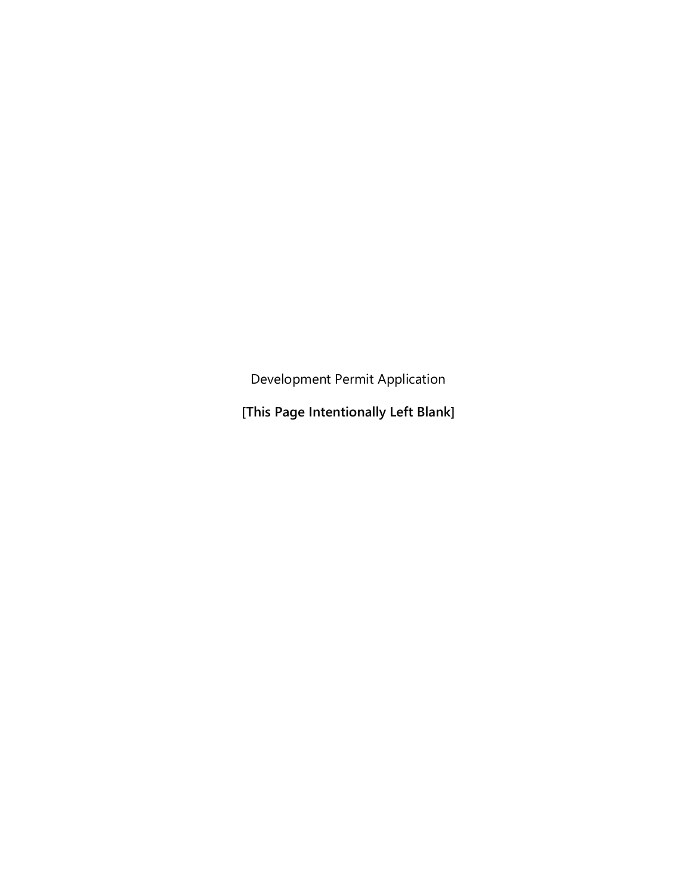Development Permit Application

**[This Page Intentionally Left Blank]**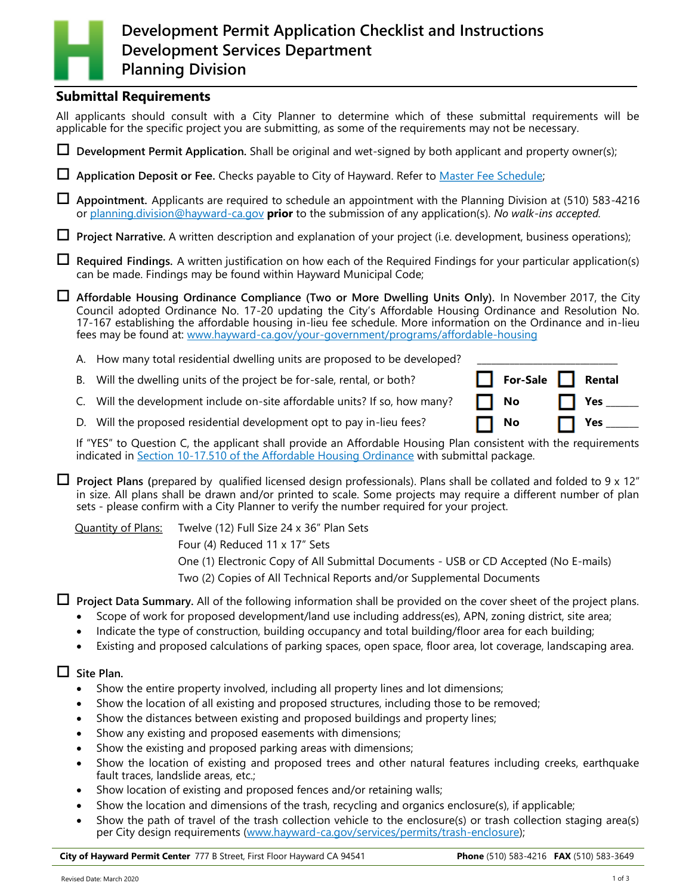# **Development Permit Application Checklist and Instructions Development Services Department Planning Division**

### **Submittal Requirements**

All applicants should consult with a City Planner to determine which of these submittal requirements will be applicable for the specific project you are submitting, as some of the requirements may not be necessary.

**Development Permit Application.** Shall be original and wet-signed by both applicant and property owner(s);

**Application Deposit or Fee.** Checks payable to City of Hayward. Refer to [Master Fee Schedule;](https://www.hayward-ca.gov/your-government/documents/master-fee-schedule)

 **Appointment.** Applicants are required to schedule an appointment with the Planning Division at (510) 583-4216 or [planning.division@hayward](mailto:planning.division@hayward-ca.gov?subject=Planning%20Appointment%20for%20Development%20Permit%20Application%20*Insert%20Address%20Here*)-ca.gov **prior** to the submission of any application(s). *No walk-ins accepted.*

**Project Narrative.** A written description and explanation of your project (i.e. development, business operations);

 **Required Findings.** A written justification on how each of the Required Findings for your particular application(s) can be made. Findings may be found within Hayward Municipal Code;

 **Affordable Housing Ordinance Compliance (Two or More Dwelling Units Only).** In November 2017, the City Council adopted Ordinance No. 17-20 updating the City's Affordable Housing Ordinance and Resolution No. 17-167 establishing the affordable housing in-lieu fee schedule. More information on the Ordinance and in-lieu fees may be found at: www.hayward-ca.gov/your-[government/programs/affordable](https://www.hayward-ca.gov/your-government/programs/affordable-housing)-housing

A. How many total residential dwelling units are proposed to be developed?

B. Will the dwelling units of the project be for-sale, rental, or both? **For-Sale Rental**

C. Will the development include on-site affordable units? If so, how many?  $\Box$  **No**  $\Box$  **Yes**  $\Box$ 

D. Will the proposed residential development opt to pay in-lieu fees?  $\Box$  No  $\Box$  Yes  $\Box$ 

If "YES" to Question C, the applicant shall provide an Affordable Housing Plan consistent with the requirements indicated in Section 10-[17.510 of the Affordable Housing Ordinance](https://library.municode.com/ca/hayward/codes/municipal_code?nodeId=HAYWARD_MUNICIPAL_CODE_CH10PLZOSU_ART17AFHOOR_S10-17.500IMAFHOPL_S10-17.510AFHOPL) with submittal package.

 **Project Plans (**prepared by qualified licensed design professionals). Plans shall be collated and folded to 9 x 12" in size. All plans shall be drawn and/or printed to scale. Some projects may require a different number of plan sets - please confirm with a City Planner to verify the number required for your project.

Quantity of Plans: Twelve (12) Full Size 24 x 36" Plan Sets

Four (4) Reduced 11 x 17" Sets

One (1) Electronic Copy of All Submittal Documents - USB or CD Accepted (No E-mails)

Two (2) Copies of All Technical Reports and/or Supplemental Documents

**Project Data Summary.** All of the following information shall be provided on the cover sheet of the project plans.

- Scope of work for proposed development/land use including address(es), APN, zoning district, site area;
- Indicate the type of construction, building occupancy and total building/floor area for each building;
- Existing and proposed calculations of parking spaces, open space, floor area, lot coverage, landscaping area.

#### **Site Plan.**

- Show the entire property involved, including all property lines and lot dimensions;
- Show the location of all existing and proposed structures, including those to be removed;
- Show the distances between existing and proposed buildings and property lines;
- Show any existing and proposed easements with dimensions;
- Show the existing and proposed parking areas with dimensions;
- Show the location of existing and proposed trees and other natural features including creeks, earthquake fault traces, landslide areas, etc.;
- Show location of existing and proposed fences and/or retaining walls;
- Show the location and dimensions of the trash, recycling and organics enclosure(s), if applicable;
- Show the path of travel of the trash collection vehicle to the enclosure(s) or trash collection staging area(s) per City design requirements (www.hayward-[ca.gov/services/permits/trash](https://www.hayward-ca.gov/services/permits/trash-enclosure)-enclosure);

**City of Hayward Permit Center** 777 B Street, First Floor Hayward CA 94541 **Phone** (510) 583-4216 **FAX** (510) 583-3649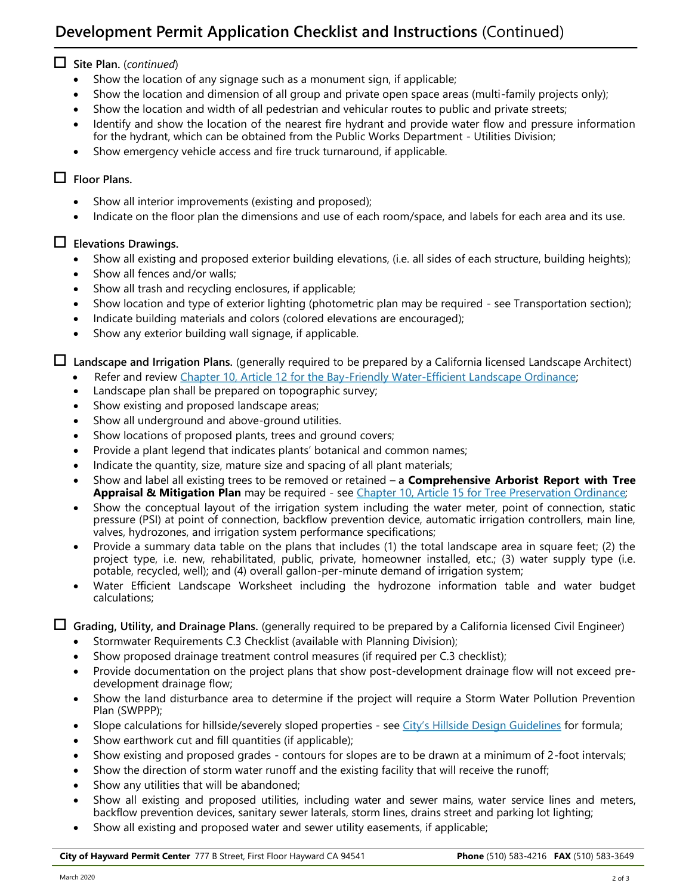# **Development Permit Application Checklist and Instructions** (Continued)

## **Site Plan.** (*continued*)

- Show the location of any signage such as a monument sign, if applicable;
- Show the location and dimension of all group and private open space areas (multi-family projects only);
- Show the location and width of all pedestrian and vehicular routes to public and private streets;
- Identify and show the location of the nearest fire hydrant and provide water flow and pressure information for the hydrant, which can be obtained from the Public Works Department - Utilities Division;
- Show emergency vehicle access and fire truck turnaround, if applicable.

## **Floor Plans.**

- Show all interior improvements (existing and proposed);
- Indicate on the floor plan the dimensions and use of each room/space, and labels for each area and its use.

### **Elevations Drawings.**

- Show all existing and proposed exterior building elevations, (i.e. all sides of each structure, building heights);
- Show all fences and/or walls;
- Show all trash and recycling enclosures, if applicable;
- Show location and type of exterior lighting (photometric plan may be required see Transportation section);
- Indicate building materials and colors (colored elevations are encouraged);
- Show any exterior building wall signage, if applicable.

**Landscape and Irrigation Plans.** (generally required to be prepared by a California licensed Landscape Architect)

- Refer and review [Chapter 10, Article 12 for the Bay](https://library.municode.com/ca/hayward/codes/municipal_code?nodeId=HAYWARD_MUNICIPAL_CODE_CH10PLZOSU_ART12BIEWAEFLAOR)-Friendly Water-Efficient Landscape Ordinance;
- Landscape plan shall be prepared on topographic survey;
- Show existing and proposed landscape areas;
- Show all underground and above-ground utilities.
- Show locations of proposed plants, trees and ground covers;
- Provide a plant legend that indicates plants' botanical and common names;
- Indicate the quantity, size, mature size and spacing of all plant materials;
- Show and label all existing trees to be removed or retained **a Comprehensive Arborist Report with Tree Appraisal & Mitigation Plan** may be required - see [Chapter 10, Article 15 for Tree Preservation Ordinance;](https://library.municode.com/ca/hayward/codes/municipal_code?nodeId=HAYWARD_MUNICIPAL_CODE_CH10PLZOSU_ART15TRPR_S10-15.20PERE)
- Show the conceptual layout of the irrigation system including the water meter, point of connection, static pressure (PSI) at point of connection, backflow prevention device, automatic irrigation controllers, main line, valves, hydrozones, and irrigation system performance specifications;
- Provide a summary data table on the plans that includes (1) the total landscape area in square feet; (2) the project type, i.e. new, rehabilitated, public, private, homeowner installed, etc.; (3) water supply type (i.e. potable, recycled, well); and (4) overall gallon-per-minute demand of irrigation system;
- Water Efficient Landscape Worksheet including the hydrozone information table and water budget calculations;

**Grading, Utility, and Drainage Plans.** (generally required to be prepared by a California licensed Civil Engineer)

- Stormwater Requirements C.3 Checklist (available with Planning Division);
- Show proposed drainage treatment control measures (if required per C.3 checklist);
- Provide documentation on the project plans that show post-development drainage flow will not exceed predevelopment drainage flow;
- Show the land disturbance area to determine if the project will require a Storm Water Pollution Prevention Plan (SWPPP);
- Slope calculations for hillside/severely sloped properties see City'[s Hillside Design Guidelines](https://www.hayward-ca.gov/sites/default/files/COH%20Hillside%20Design%20Urban-Wildland%20Interface%20Guidelines.pdf) for formula;
- Show earthwork cut and fill quantities (if applicable);
- Show existing and proposed grades contours for slopes are to be drawn at a minimum of 2-foot intervals;
- Show the direction of storm water runoff and the existing facility that will receive the runoff;
- Show any utilities that will be abandoned:
- Show all existing and proposed utilities, including water and sewer mains, water service lines and meters, backflow prevention devices, sanitary sewer laterals, storm lines, drains street and parking lot lighting;
- Show all existing and proposed water and sewer utility easements, if applicable;